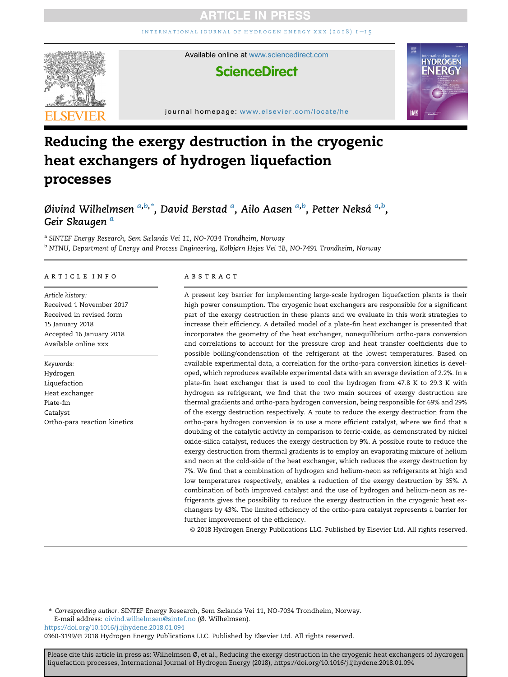INTERNATIONAL JOURNAL OF HYDROGEN ENERGY XXX  $(2018)$  I-15



Available online at [www.sciencedirect.com](www.sciencedirect.com/science/journal/03603199)

### **ScienceDirect**



journal homepage: <www.elsevier.com/locate/he>

## Reducing the exergy destruction in the cryogenic heat exchangers of hydrogen liquefaction processes

Øivind Wilhelmsen <sup>a,b,</sup>\*, David Berstad <sup>a</sup>, Ailo Aasen <sup>a,b</sup>, Petter Nekså <sup>a,b</sup>, Geir Skaugen<sup>a</sup>

a SINTEF Energy Research, Sem Sælands Vei 11, NO-7034 Trondheim, Norway

<sup>b</sup> NTNU, Department of Energy and Process Engineering, Kolbjørn Hejes Vei 1B, NO-7491 Trondheim, Norway

#### article info

Article history: Received 1 November 2017 Received in revised form 15 January 2018 Accepted 16 January 2018 Available online xxx

Keywords: Hydrogen Liquefaction Heat exchanger Plate-fin Catalyst Ortho-para reaction kinetics

#### **ABSTRACT**

A present key barrier for implementing large-scale hydrogen liquefaction plants is their high power consumption. The cryogenic heat exchangers are responsible for a significant part of the exergy destruction in these plants and we evaluate in this work strategies to increase their efficiency. A detailed model of a plate-fin heat exchanger is presented that incorporates the geometry of the heat exchanger, nonequilibrium ortho-para conversion and correlations to account for the pressure drop and heat transfer coefficients due to possible boiling/condensation of the refrigerant at the lowest temperatures. Based on available experimental data, a correlation for the ortho-para conversion kinetics is developed, which reproduces available experimental data with an average deviation of 2.2%. In a plate-fin heat exchanger that is used to cool the hydrogen from 47.8 K to 29.3 K with hydrogen as refrigerant, we find that the two main sources of exergy destruction are thermal gradients and ortho-para hydrogen conversion, being responsible for 69% and 29% of the exergy destruction respectively. A route to reduce the exergy destruction from the ortho-para hydrogen conversion is to use a more efficient catalyst, where we find that a doubling of the catalytic activity in comparison to ferric-oxide, as demonstrated by nickel oxide-silica catalyst, reduces the exergy destruction by 9%. A possible route to reduce the exergy destruction from thermal gradients is to employ an evaporating mixture of helium and neon at the cold-side of the heat exchanger, which reduces the exergy destruction by 7%. We find that a combination of hydrogen and helium-neon as refrigerants at high and low temperatures respectively, enables a reduction of the exergy destruction by 35%. A combination of both improved catalyst and the use of hydrogen and helium-neon as refrigerants gives the possibility to reduce the exergy destruction in the cryogenic heat exchangers by 43%. The limited efficiency of the ortho-para catalyst represents a barrier for further improvement of the efficiency.

© 2018 Hydrogen Energy Publications LLC. Published by Elsevier Ltd. All rights reserved.

\* Corresponding author. SINTEF Energy Research, Sem Sælands Vei 11, NO-7034 Trondheim, Norway. E-mail address: [oivind.wilhelmsen@sintef.no](mailto:oivind.wilhelmsen@sintef.no) (Ø. Wilhelmsen). <https://doi.org/10.1016/j.ijhydene.2018.01.094>

0360-3199/© 2018 Hydrogen Energy Publications LLC. Published by Elsevier Ltd. All rights reserved.

Please cite this article in press as: Wilhelmsen Ø, et al., Reducing the exergy destruction in the cryogenic heat exchangers of hydrogen liquefaction processes, International Journal of Hydrogen Energy (2018), https://doi.org/10.1016/j.ijhydene.2018.01.094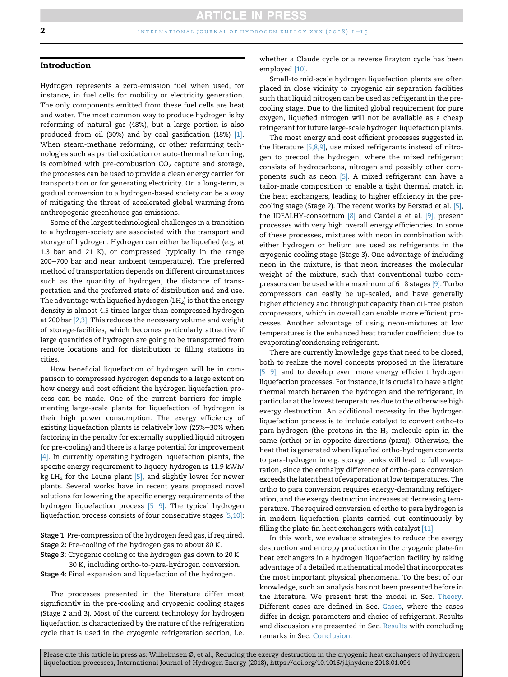#### Introduction

Hydrogen represents a zero-emission fuel when used, for instance, in fuel cells for mobility or electricity generation. The only components emitted from these fuel cells are heat and water. The most common way to produce hydrogen is by reforming of natural gas (48%), but a large portion is also produced from oil (30%) and by coal gasification (18%) [\[1\]](#page--1-0). When steam-methane reforming, or other reforming technologies such as partial oxidation or auto-thermal reforming, is combined with pre-combustion  $CO<sub>2</sub>$  capture and storage, the processes can be used to provide a clean energy carrier for transportation or for generating electricity. On a long-term, a gradual conversion to a hydrogen-based society can be a way of mitigating the threat of accelerated global warming from anthropogenic greenhouse gas emissions.

Some of the largest technological challenges in a transition to a hydrogen-society are associated with the transport and storage of hydrogen. Hydrogen can either be liquefied (e.g. at 1.3 bar and 21 K), or compressed (typically in the range 200-700 bar and near ambient temperature). The preferred method of transportation depends on different circumstances such as the quantity of hydrogen, the distance of transportation and the preferred state of distribution and end use. The advantage with liquefied hydrogen ( $LH_2$ ) is that the energy density is almost 4.5 times larger than compressed hydrogen at 200 bar  $[2,3]$ . This reduces the necessary volume and weight of storage-facilities, which becomes particularly attractive if large quantities of hydrogen are going to be transported from remote locations and for distribution to filling stations in cities.

How beneficial liquefaction of hydrogen will be in comparison to compressed hydrogen depends to a large extent on how energy and cost efficient the hydrogen liquefaction process can be made. One of the current barriers for implementing large-scale plants for liquefaction of hydrogen is their high power consumption. The exergy efficiency of existing liquefaction plants is relatively low (25%-30% when factoring in the penalty for externally supplied liquid nitrogen for pre-cooling) and there is a large potential for improvement [\[4\].](#page--1-0) In currently operating hydrogen liquefaction plants, the specific energy requirement to liquefy hydrogen is 11.9 kWh/ kg  $LH_2$  for the Leuna plant  $[5]$ , and slightly lower for newer plants. Several works have in recent years proposed novel solutions for lowering the specific energy requirements of the hydrogen liquefaction process  $[5-9]$  $[5-9]$  $[5-9]$ . The typical hydrogen liquefaction process consists of four consecutive stages [\[5,10\]](#page--1-0):

Stage 1: Pre-compression of the hydrogen feed gas, if required. Stage 2: Pre-cooling of the hydrogen gas to about 80 K.

Stage 3: Cryogenic cooling of the hydrogen gas down to 20  $K-$ 30 K, including ortho-to-para-hydrogen conversion.

Stage 4: Final expansion and liquefaction of the hydrogen.

The processes presented in the literature differ most significantly in the pre-cooling and cryogenic cooling stages (Stage 2 and 3). Most of the current technology for hydrogen liquefaction is characterized by the nature of the refrigeration cycle that is used in the cryogenic refrigeration section, i.e.

whether a Claude cycle or a reverse Brayton cycle has been employed [\[10\].](#page--1-0)

Small-to mid-scale hydrogen liquefaction plants are often placed in close vicinity to cryogenic air separation facilities such that liquid nitrogen can be used as refrigerant in the precooling stage. Due to the limited global requirement for pure oxygen, liquefied nitrogen will not be available as a cheap refrigerant for future large-scale hydrogen liquefaction plants.

The most energy and cost efficient processes suggested in the literature [\[5,8,9\],](#page--1-0) use mixed refrigerants instead of nitrogen to precool the hydrogen, where the mixed refrigerant consists of hydrocarbons, nitrogen and possibly other components such as neon [\[5\].](#page--1-0) A mixed refrigerant can have a tailor-made composition to enable a tight thermal match in the heat exchangers, leading to higher efficiency in the precooling stage (Stage 2). The recent works by Berstad et al. [\[5\]](#page--1-0), the IDEALHY-consortium [\[8\]](#page--1-0) and Cardella et al. [\[9\]](#page--1-0), present processes with very high overall energy efficiencies. In some of these processes, mixtures with neon in combination with either hydrogen or helium are used as refrigerants in the cryogenic cooling stage (Stage 3). One advantage of including neon in the mixture, is that neon increases the molecular weight of the mixture, such that conventional turbo compressors can be used with a maximum of  $6-8$  stages  $[9]$ . Turbo compressors can easily be up-scaled, and have generally higher efficiency and throughput capacity than oil-free piston compressors, which in overall can enable more efficient processes. Another advantage of using neon-mixtures at low temperatures is the enhanced heat transfer coefficient due to evaporating/condensing refrigerant.

There are currently knowledge gaps that need to be closed, both to realize the novel concepts proposed in the literature  $[5-9]$  $[5-9]$ , and to develop even more energy efficient hydrogen liquefaction processes. For instance, it is crucial to have a tight thermal match between the hydrogen and the refrigerant, in particular at the lowest temperatures due to the otherwise high exergy destruction. An additional necessity in the hydrogen liquefaction process is to include catalyst to convert ortho-to para-hydrogen (the protons in the  $H_2$  molecule spin in the same (ortho) or in opposite directions (para)). Otherwise, the heat that is generated when liquefied ortho-hydrogen converts to para-hydrogen in e.g. storage tanks will lead to full evaporation, since the enthalpy difference of ortho-para conversion exceeds the latent heat of evaporation at low temperatures. The ortho to para conversion requires energy-demanding refrigeration, and the exergy destruction increases at decreasing temperature. The required conversion of ortho to para hydrogen is in modern liquefaction plants carried out continuously by filling the plate-fin heat exchangers with catalyst [\[11\]](#page--1-0).

In this work, we evaluate strategies to reduce the exergy destruction and entropy production in the cryogenic plate-fin heat exchangers in a hydrogen liquefaction facility by taking advantage of a detailed mathematical model that incorporates the most important physical phenomena. To the best of our knowledge, such an analysis has not been presented before in the literature. We present first the model in Sec. [Theory](#page--1-0). Different cases are defined in Sec. [Cases](#page--1-0), where the cases differ in design parameters and choice of refrigerant. Results and discussion are presented in Sec. [Results](#page--1-0) with concluding remarks in Sec. [Conclusion.](#page--1-0)

Please cite this article in press as: Wilhelmsen Ø, et al., Reducing the exergy destruction in the cryogenic heat exchangers of hydrogen liquefaction processes, International Journal of Hydrogen Energy (2018), https://doi.org/10.1016/j.ijhydene.2018.01.094